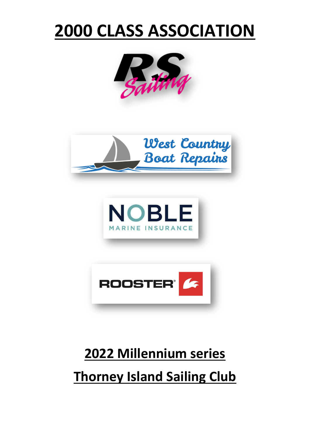# **2000 CLASS ASSOCIATION**









# **2022 Millennium series Thorney Island Sailing Club**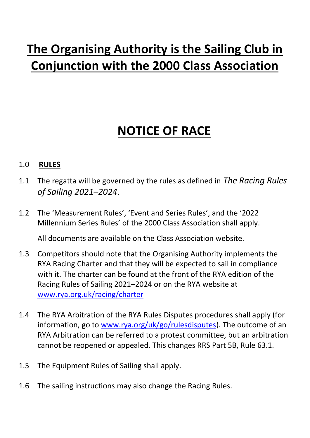# **The Organising Authority is the Sailing Club in Conjunction with the 2000 Class Association**

# **NOTICE OF RACE**

#### 1.0 **RULES**

- 1.1 The regatta will be governed by the rules as defined in *The Racing Rules of Sailing 2021–2024*.
- 1.2 The 'Measurement Rules', 'Event and Series Rules', and the '2022 Millennium Series Rules' of the 2000 Class Association shall apply.

All documents are available on the Class Association website.

- 1.3 Competitors should note that the Organising Authority implements the RYA Racing Charter and that they will be expected to sail in compliance with it. The charter can be found at the front of the RYA edition of the Racing Rules of Sailing 2021–2024 or on the RYA website at www.rya.org.uk/racing/charter
- 1.4 The RYA Arbitration of the RYA Rules Disputes procedures shall apply (for information, go to www.rya.org/uk/go/rulesdisputes). The outcome of an RYA Arbitration can be referred to a protest committee, but an arbitration cannot be reopened or appealed. This changes RRS Part 5B, Rule 63.1.
- 1.5 The Equipment Rules of Sailing shall apply.
- 1.6 The sailing instructions may also change the Racing Rules.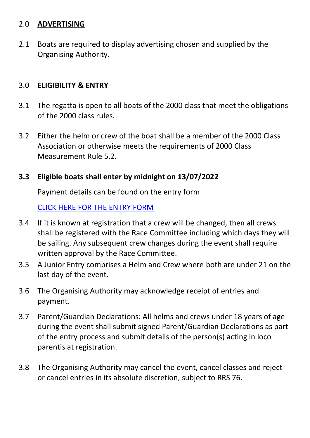#### 2.0 **ADVERTISING**

2.1 Boats are required to display advertising chosen and supplied by the Organising Authority.

### 3.0 **ELIGIBILITY & ENTRY**

- 3.1 The regatta is open to all boats of the 2000 class that meet the obligations of the 2000 class rules.
- 3.2 Either the helm or crew of the boat shall be a member of the 2000 Class Association or otherwise meets the requirements of 2000 Class Measurement Rule 5.2.

#### **3.3 Eligible boats shall enter by midnight on 13/07/2022**

Payment details can be found on the entry form

#### CLICK HERE FOR THE ENTRY FORM

- 3.4 If it is known at registration that a crew will be changed, then all crews shall be registered with the Race Committee including which days they will be sailing. Any subsequent crew changes during the event shall require written approval by the Race Committee.
- 3.5 A Junior Entry comprises a Helm and Crew where both are under 21 on the last day of the event.
- 3.6 The Organising Authority may acknowledge receipt of entries and payment.
- 3.7 Parent/Guardian Declarations: All helms and crews under 18 years of age during the event shall submit signed Parent/Guardian Declarations as part of the entry process and submit details of the person(s) acting in loco parentis at registration.
- 3.8 The Organising Authority may cancel the event, cancel classes and reject or cancel entries in its absolute discretion, subject to RRS 76.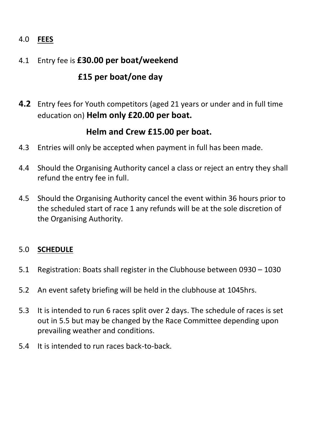# 4.0 **FEES**

# 4.1 Entry fee is **£30.00 per boat/weekend**

# **£15 per boat/one day**

**4.2** Entry fees for Youth competitors (aged 21 years or under and in full time education on) **Helm only £20.00 per boat.**

# **Helm and Crew £15.00 per boat.**

- 4.3 Entries will only be accepted when payment in full has been made.
- 4.4 Should the Organising Authority cancel a class or reject an entry they shall refund the entry fee in full.
- 4.5 Should the Organising Authority cancel the event within 36 hours prior to the scheduled start of race 1 any refunds will be at the sole discretion of the Organising Authority.

#### 5.0 **SCHEDULE**

- 5.1 Registration: Boats shall register in the Clubhouse between 0930 1030
- 5.2 An event safety briefing will be held in the clubhouse at 1045hrs.
- 5.3 It is intended to run 6 races split over 2 days. The schedule of races is set out in 5.5 but may be changed by the Race Committee depending upon prevailing weather and conditions.
- 5.4 It is intended to run races back-to-back.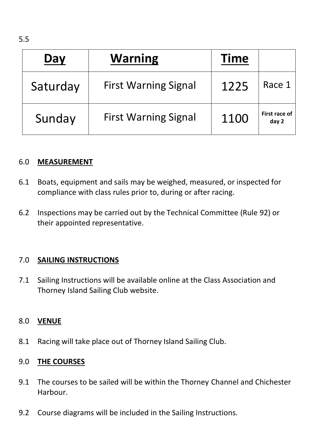| Day      | <b>Warning</b>              | <b>Time</b> |                        |
|----------|-----------------------------|-------------|------------------------|
| Saturday | <b>First Warning Signal</b> | 1225        | Race 1                 |
| Sunday   | <b>First Warning Signal</b> | 1100        | First race of<br>day 2 |

### 6.0 **MEASUREMENT**

- 6.1 Boats, equipment and sails may be weighed, measured, or inspected for compliance with class rules prior to, during or after racing.
- 6.2 Inspections may be carried out by the Technical Committee (Rule 92) or their appointed representative.

#### 7.0 **SAILING INSTRUCTIONS**

7.1 Sailing Instructions will be available online at the Class Association and Thorney Island Sailing Club website.

#### 8.0 **VENUE**

8.1 Racing will take place out of Thorney Island Sailing Club.

# 9.0 **THE COURSES**

- 9.1 The courses to be sailed will be within the Thorney Channel and Chichester Harbour.
- 9.2 Course diagrams will be included in the Sailing Instructions.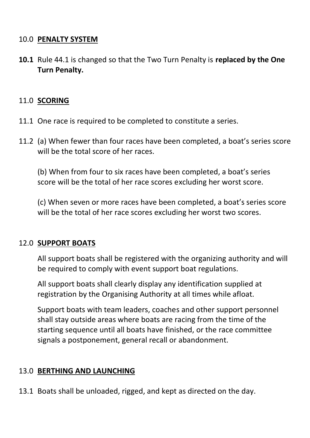#### 10.0 **PENALTY SYSTEM**

**10.1** Rule 44.1 is changed so that the Two Turn Penalty is **replaced by the One Turn Penalty.**

#### 11.0 **SCORING**

- 11.1 One race is required to be completed to constitute a series.
- 11.2 (a) When fewer than four races have been completed, a boat's series score will be the total score of her races.

(b) When from four to six races have been completed, a boat's series score will be the total of her race scores excluding her worst score.

(c) When seven or more races have been completed, a boat's series score will be the total of her race scores excluding her worst two scores.

#### 12.0 **SUPPORT BOATS**

All support boats shall be registered with the organizing authority and will be required to comply with event support boat regulations.

All support boats shall clearly display any identification supplied at registration by the Organising Authority at all times while afloat.

Support boats with team leaders, coaches and other support personnel shall stay outside areas where boats are racing from the time of the starting sequence until all boats have finished, or the race committee signals a postponement, general recall or abandonment.

#### 13.0 **BERTHING AND LAUNCHING**

13.1 Boats shall be unloaded, rigged, and kept as directed on the day.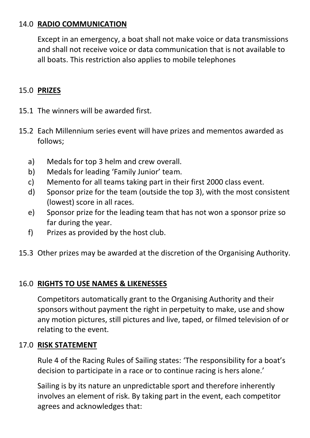### 14.0 **RADIO COMMUNICATION**

Except in an emergency, a boat shall not make voice or data transmissions and shall not receive voice or data communication that is not available to all boats. This restriction also applies to mobile telephones

# 15.0 **PRIZES**

- 15.1 The winners will be awarded first.
- 15.2 Each Millennium series event will have prizes and mementos awarded as follows;
	- a) Medals for top 3 helm and crew overall.
	- b) Medals for leading 'Family Junior' team.
	- c) Memento for all teams taking part in their first 2000 class event.
	- d) Sponsor prize for the team (outside the top 3), with the most consistent (lowest) score in all races.
	- e) Sponsor prize for the leading team that has not won a sponsor prize so far during the year.
	- f) Prizes as provided by the host club.
- 15.3 Other prizes may be awarded at the discretion of the Organising Authority.

#### 16.0 **RIGHTS TO USE NAMES & LIKENESSES**

Competitors automatically grant to the Organising Authority and their sponsors without payment the right in perpetuity to make, use and show any motion pictures, still pictures and live, taped, or filmed television of or relating to the event.

#### 17.0 **RISK STATEMENT**

Rule 4 of the Racing Rules of Sailing states: 'The responsibility for a boat's decision to participate in a race or to continue racing is hers alone.'

Sailing is by its nature an unpredictable sport and therefore inherently involves an element of risk. By taking part in the event, each competitor agrees and acknowledges that: